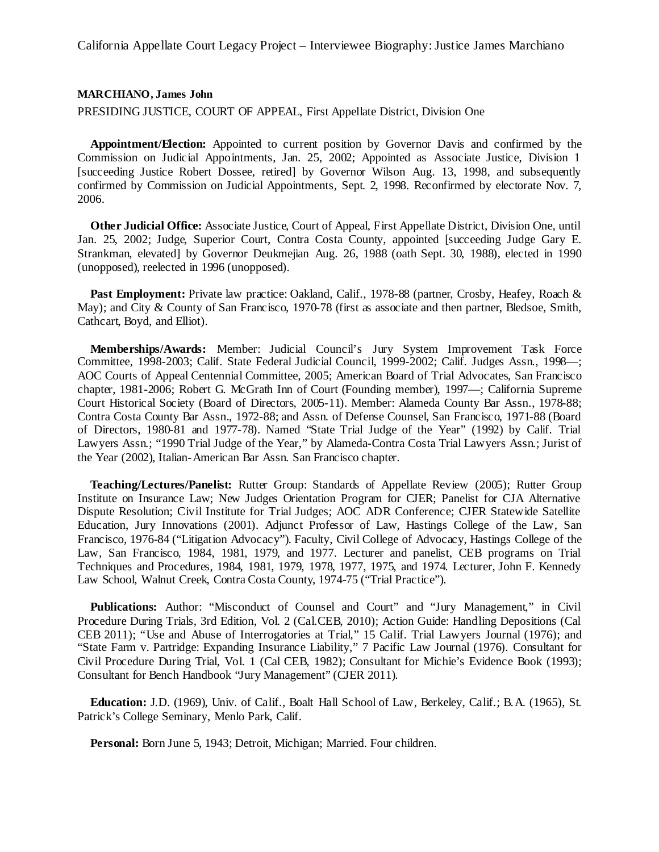## **MARCHIANO, James John**

PRESIDING JUSTICE, COURT OF APPEAL, First Appellate District, Division One

**Appointment/Election:** Appointed to current position by Governor Davis and confirmed by the Commission on Judicial Appointments, Jan. 25, 2002; Appointed as Associate Justice, Division 1 [succeeding Justice Robert Dossee, retired] by Governor Wilson Aug. 13, 1998, and subsequently confirmed by Commission on Judicial Appointments, Sept. 2, 1998. Reconfirmed by electorate Nov. 7, 2006.

**Other Judicial Office:** Associate Justice, Court of Appeal, First Appellate District, Division One, until Jan. 25, 2002; Judge, Superior Court, Contra Costa County, appointed [succeeding Judge Gary E. Strankman, elevated] by Governor Deukmejian Aug. 26, 1988 (oath Sept. 30, 1988), elected in 1990 (unopposed), reelected in 1996 (unopposed).

**Past Employment:** Private law practice: Oakland, Calif., 1978-88 (partner, Crosby, Heafey, Roach & May); and City & County of San Francisco, 1970-78 (first as associate and then partner, Bledsoe, Smith, Cathcart, Boyd, and Elliot).

**Memberships/Awards:** Member: Judicial Council's Jury System Improvement Task Force Committee, 1998-2003; Calif. State Federal Judicial Council, 1999-2002; Calif. Judges Assn., 1998—; AOC Courts of Appeal Centennial Committee, 2005; American Board of Trial Advocates, San Francisco chapter, 1981-2006; Robert G. McGrath Inn of Court (Founding member), 1997—; California Supreme Court Historical Society (Board of Directors, 2005-11). Member: Alameda County Bar Assn., 1978-88; Contra Costa County Bar Assn., 1972-88; and Assn. of Defense Counsel, San Francisco, 1971-88 (Board of Directors, 1980-81 and 1977-78). Named "State Trial Judge of the Year" (1992) by Calif. Trial Lawyers Assn.; "1990 Trial Judge of the Year," by Alameda-Contra Costa Trial Lawyers Assn.; Jurist of the Year (2002), Italian-American Bar Assn. San Francisco chapter.

**Teaching/Lectures/Panelist:** Rutter Group: Standards of Appellate Review (2005); Rutter Group Institute on Insurance Law; New Judges Orientation Program for CJER; Panelist for CJA Alternative Dispute Resolution; Civil Institute for Trial Judges; AOC ADR Conference; CJER Statewide Satellite Education, Jury Innovations (2001). Adjunct Professor of Law, Hastings College of the Law, San Francisco, 1976-84 ("Litigation Advocacy"). Faculty, Civil College of Advocacy, Hastings College of the Law, San Francisco, 1984, 1981, 1979, and 1977. Lecturer and panelist, CEB programs on Trial Techniques and Procedures, 1984, 1981, 1979, 1978, 1977, 1975, and 1974. Lecturer, John F. Kennedy Law School, Walnut Creek, Contra Costa County, 1974-75 ("Trial Practice").

**Publications:** Author: "Misconduct of Counsel and Court" and "Jury Management," in Civil Procedure During Trials, 3rd Edition, Vol. 2 (Cal.CEB, 2010); Action Guide: Handling Depositions (Cal CEB 2011); "Use and Abuse of Interrogatories at Trial," 15 Calif. Trial Lawyers Journal (1976); and "State Farm v. Partridge: Expanding Insurance Liability," 7 Pacific Law Journal (1976). Consultant for Civil Procedure During Trial, Vol. 1 (Cal CEB, 1982); Consultant for Michie's Evidence Book (1993); Consultant for Bench Handbook "Jury Management" (CJER 2011).

**Education:** J.D. (1969), Univ. of Calif., Boalt Hall School of Law, Berkeley, Calif.; B.A. (1965), St. Patrick's College Seminary, Menlo Park, Calif.

**Personal:** Born June 5, 1943; Detroit, Michigan; Married. Four children.